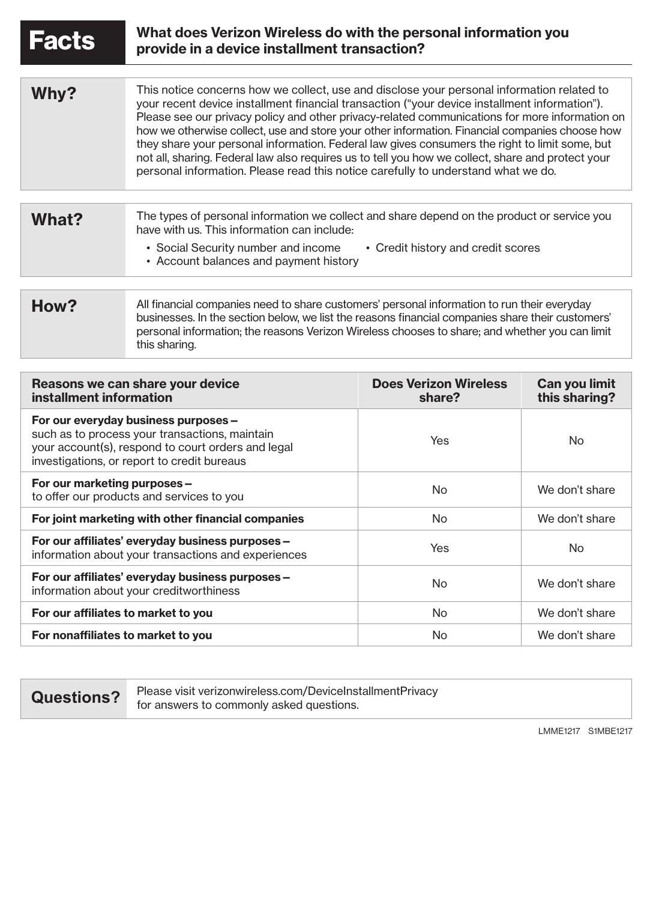| <b>Facts</b>                                                | What does Verizon Wireless do with the personal information you<br>provide in a device installment transaction?                                                                                                                                                                                                                                                                                                                                                                                                                                                                                                                                                                             |                                        |                                |
|-------------------------------------------------------------|---------------------------------------------------------------------------------------------------------------------------------------------------------------------------------------------------------------------------------------------------------------------------------------------------------------------------------------------------------------------------------------------------------------------------------------------------------------------------------------------------------------------------------------------------------------------------------------------------------------------------------------------------------------------------------------------|----------------------------------------|--------------------------------|
|                                                             |                                                                                                                                                                                                                                                                                                                                                                                                                                                                                                                                                                                                                                                                                             |                                        |                                |
| Why?                                                        | This notice concerns how we collect, use and disclose your personal information related to<br>your recent device installment financial transaction ("your device installment information").<br>Please see our privacy policy and other privacy-related communications for more information on<br>how we otherwise collect, use and store your other information. Financial companies choose how<br>they share your personal information. Federal law gives consumers the right to limit some, but<br>not all, sharing. Federal law also requires us to tell you how we collect, share and protect your<br>personal information. Please read this notice carefully to understand what we do. |                                        |                                |
|                                                             |                                                                                                                                                                                                                                                                                                                                                                                                                                                                                                                                                                                                                                                                                             |                                        |                                |
| What?                                                       | The types of personal information we collect and share depend on the product or service you<br>have with us. This information can include:<br>• Credit history and credit scores<br>• Social Security number and income                                                                                                                                                                                                                                                                                                                                                                                                                                                                     |                                        |                                |
|                                                             | • Account balances and payment history                                                                                                                                                                                                                                                                                                                                                                                                                                                                                                                                                                                                                                                      |                                        |                                |
|                                                             |                                                                                                                                                                                                                                                                                                                                                                                                                                                                                                                                                                                                                                                                                             |                                        |                                |
| How?                                                        | All financial companies need to share customers' personal information to run their everyday<br>businesses. In the section below, we list the reasons financial companies share their customers'<br>personal information; the reasons Verizon Wireless chooses to share; and whether you can limit<br>this sharing.                                                                                                                                                                                                                                                                                                                                                                          |                                        |                                |
|                                                             |                                                                                                                                                                                                                                                                                                                                                                                                                                                                                                                                                                                                                                                                                             |                                        |                                |
| Reasons we can share your device<br>installment information |                                                                                                                                                                                                                                                                                                                                                                                                                                                                                                                                                                                                                                                                                             | <b>Does Verizon Wireless</b><br>share? | Can you limit<br>this sharing? |

|                                                                                                                                                                                             |                | unv vuunng i   |
|---------------------------------------------------------------------------------------------------------------------------------------------------------------------------------------------|----------------|----------------|
| For our everyday business purposes -<br>such as to process your transactions, maintain<br>your account(s), respond to court orders and legal<br>investigations, or report to credit bureaus | Yes            | No             |
| For our marketing purposes -<br>to offer our products and services to you                                                                                                                   | No.            | We don't share |
| For joint marketing with other financial companies                                                                                                                                          | No.            | We don't share |
| For our affiliates' everyday business purposes -<br>information about your transactions and experiences                                                                                     | Yes            | N <sub>o</sub> |
| For our affiliates' everyday business purposes -<br>information about your creditworthiness                                                                                                 | N <sub>o</sub> | We don't share |
| For our affiliates to market to you                                                                                                                                                         | N <sub>o</sub> | We don't share |
| For nonaffiliates to market to you                                                                                                                                                          | N <sub>o</sub> | We don't share |

**Questions?** Please visit verizonwireless.com/DeviceInstallmentPrivacy<br>for answers to commonly asked questions.

LMME1217 S1MBE1217